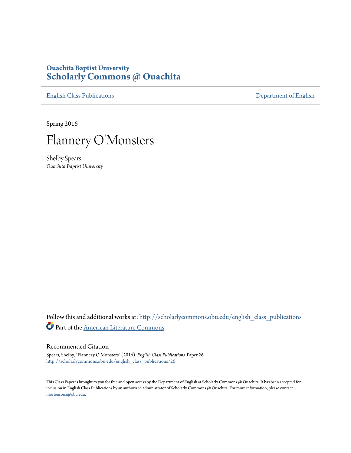## **Ouachita Baptist University [Scholarly Commons @ Ouachita](http://scholarlycommons.obu.edu?utm_source=scholarlycommons.obu.edu%2Fenglish_class_publications%2F26&utm_medium=PDF&utm_campaign=PDFCoverPages)**

[English Class Publications](http://scholarlycommons.obu.edu/english_class_publications?utm_source=scholarlycommons.obu.edu%2Fenglish_class_publications%2F26&utm_medium=PDF&utm_campaign=PDFCoverPages) [Department of English](http://scholarlycommons.obu.edu/english?utm_source=scholarlycommons.obu.edu%2Fenglish_class_publications%2F26&utm_medium=PDF&utm_campaign=PDFCoverPages)

Spring 2016



Shelby Spears *Ouachita Baptist University*

Follow this and additional works at: [http://scholarlycommons.obu.edu/english\\_class\\_publications](http://scholarlycommons.obu.edu/english_class_publications?utm_source=scholarlycommons.obu.edu%2Fenglish_class_publications%2F26&utm_medium=PDF&utm_campaign=PDFCoverPages) Part of the [American Literature Commons](http://network.bepress.com/hgg/discipline/441?utm_source=scholarlycommons.obu.edu%2Fenglish_class_publications%2F26&utm_medium=PDF&utm_campaign=PDFCoverPages)

## Recommended Citation

Spears, Shelby, "Flannery O'Monsters" (2016). *English Class Publications.* Paper 26. [http://scholarlycommons.obu.edu/english\\_class\\_publications/26](http://scholarlycommons.obu.edu/english_class_publications/26?utm_source=scholarlycommons.obu.edu%2Fenglish_class_publications%2F26&utm_medium=PDF&utm_campaign=PDFCoverPages)

This Class Paper is brought to you for free and open access by the Department of English at Scholarly Commons @ Ouachita. It has been accepted for inclusion in English Class Publications by an authorized administrator of Scholarly Commons @ Ouachita. For more information, please contact [mortensona@obu.edu](mailto:mortensona@obu.edu).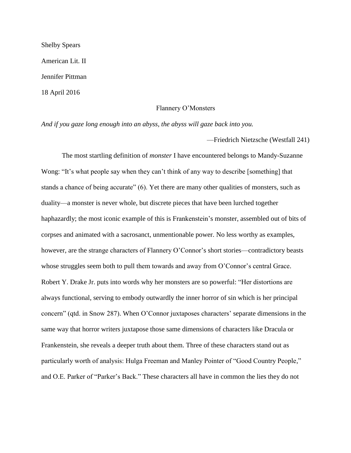Shelby Spears American Lit. II Jennifer Pittman 18 April 2016

## Flannery O'Monsters

*And if you gaze long enough into an abyss, the abyss will gaze back into you.* 

—Friedrich Nietzsche (Westfall 241)

The most startling definition of *monster* I have encountered belongs to Mandy-Suzanne Wong: "It's what people say when they can't think of any way to describe [something] that stands a chance of being accurate" (6). Yet there are many other qualities of monsters, such as duality—a monster is never whole, but discrete pieces that have been lurched together haphazardly; the most iconic example of this is Frankenstein's monster, assembled out of bits of corpses and animated with a sacrosanct, unmentionable power. No less worthy as examples, however, are the strange characters of Flannery O'Connor's short stories—contradictory beasts whose struggles seem both to pull them towards and away from O'Connor's central Grace. Robert Y. Drake Jr. puts into words why her monsters are so powerful: "Her distortions are always functional, serving to embody outwardly the inner horror of sin which is her principal concern" (qtd. in Snow 287). When O'Connor juxtaposes characters' separate dimensions in the same way that horror writers juxtapose those same dimensions of characters like Dracula or Frankenstein, she reveals a deeper truth about them. Three of these characters stand out as particularly worth of analysis: Hulga Freeman and Manley Pointer of "Good Country People," and O.E. Parker of "Parker's Back." These characters all have in common the lies they do not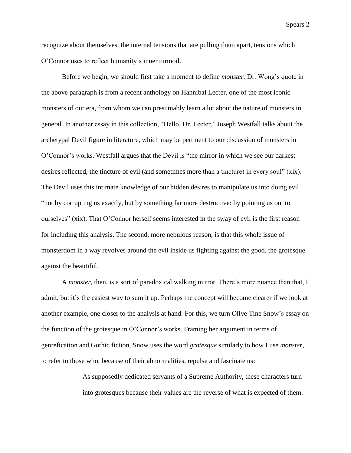recognize about themselves, the internal tensions that are pulling them apart, tensions which O'Connor uses to reflect humanity's inner turmoil.

Before we begin, we should first take a moment to define *monster.* Dr. Wong's quote in the above paragraph is from a recent anthology on Hannibal Lecter, one of the most iconic monsters of our era, from whom we can presumably learn a lot about the nature of monsters in general. In another essay in this collection, "Hello, Dr. Lecter," Joseph Westfall talks about the archetypal Devil figure in literature, which may be pertinent to our discussion of monsters in O'Connor's works. Westfall argues that the Devil is "the mirror in which we see our darkest desires reflected, the tincture of evil (and sometimes more than a tincture) in every soul" (xix). The Devil uses this intimate knowledge of our hidden desires to manipulate us into doing evil "not by corrupting us exactly, but by something far more destructive: by pointing us out to ourselves" (xix). That O'Connor herself seems interested in the sway of evil is the first reason for including this analysis. The second, more nebulous reason, is that this whole issue of monsterdom in a way revolves around the evil inside us fighting against the good, the grotesque against the beautiful.

A *monster*, then, is a sort of paradoxical walking mirror. There's more nuance than that, I admit, but it's the easiest way to sum it up. Perhaps the concept will become clearer if we look at another example, one closer to the analysis at hand. For this, we turn Ollye Tine Snow's essay on the function of the grotesque in O'Connor's works. Framing her argument in terms of genrefication and Gothic fiction, Snow uses the word *grotesque* similarly to how I use *monster*, to refer to those who, because of their abnormalities, repulse and fascinate us:

> As supposedly dedicated servants of a Supreme Authority, these characters turn into grotesques because their values are the reverse of what is expected of them.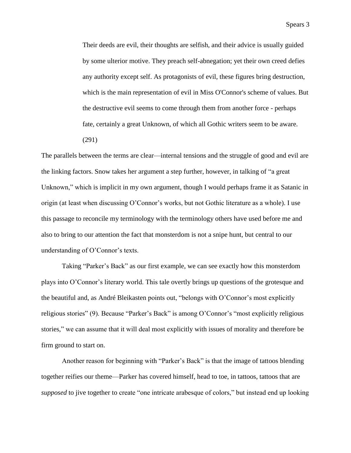Their deeds are evil, their thoughts are selfish, and their advice is usually guided by some ulterior motive. They preach self-abnegation; yet their own creed defies any authority except self. As protagonists of evil, these figures bring destruction, which is the main representation of evil in Miss O'Connor's scheme of values. But the destructive evil seems to come through them from another force - perhaps fate, certainly a great Unknown, of which all Gothic writers seem to be aware.

(291)

The parallels between the terms are clear—internal tensions and the struggle of good and evil are the linking factors. Snow takes her argument a step further, however, in talking of "a great Unknown," which is implicit in my own argument, though I would perhaps frame it as Satanic in origin (at least when discussing O'Connor's works, but not Gothic literature as a whole). I use this passage to reconcile my terminology with the terminology others have used before me and also to bring to our attention the fact that monsterdom is not a snipe hunt, but central to our understanding of O'Connor's texts.

Taking "Parker's Back" as our first example, we can see exactly how this monsterdom plays into O'Connor's literary world. This tale overtly brings up questions of the grotesque and the beautiful and, as André Bleikasten points out, "belongs with O'Connor's most explicitly religious stories" (9). Because "Parker's Back" is among O'Connor's "most explicitly religious stories," we can assume that it will deal most explicitly with issues of morality and therefore be firm ground to start on.

Another reason for beginning with "Parker's Back" is that the image of tattoos blending together reifies our theme—Parker has covered himself, head to toe, in tattoos, tattoos that are *supposed* to jive together to create "one intricate arabesque of colors," but instead end up looking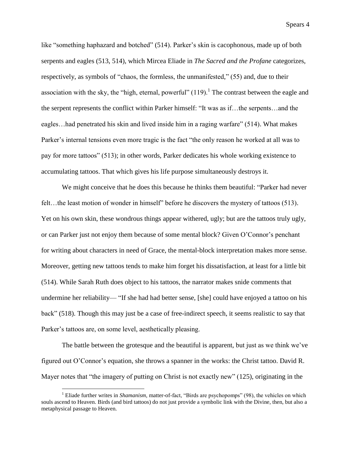like "something haphazard and botched" (514). Parker's skin is cacophonous, made up of both serpents and eagles (513, 514), which Mircea Eliade in *The Sacred and the Profane* categorizes, respectively, as symbols of "chaos, the formless, the unmanifested," (55) and, due to their association with the sky, the "high, eternal, powerful"  $(119)$ .<sup>1</sup> The contrast between the eagle and the serpent represents the conflict within Parker himself: "It was as if…the serpents…and the eagles…had penetrated his skin and lived inside him in a raging warfare" (514). What makes Parker's internal tensions even more tragic is the fact "the only reason he worked at all was to pay for more tattoos" (513); in other words, Parker dedicates his whole working existence to accumulating tattoos. That which gives his life purpose simultaneously destroys it.

We might conceive that he does this because he thinks them beautiful: "Parker had never felt...the least motion of wonder in himself" before he discovers the mystery of tattoos (513). Yet on his own skin, these wondrous things appear withered, ugly; but are the tattoos truly ugly, or can Parker just not enjoy them because of some mental block? Given O'Connor's penchant for writing about characters in need of Grace, the mental-block interpretation makes more sense. Moreover, getting new tattoos tends to make him forget his dissatisfaction, at least for a little bit (514). While Sarah Ruth does object to his tattoos, the narrator makes snide comments that undermine her reliability— "If she had had better sense, [she] could have enjoyed a tattoo on his back" (518). Though this may just be a case of free-indirect speech, it seems realistic to say that Parker's tattoos are, on some level, aesthetically pleasing.

The battle between the grotesque and the beautiful is apparent, but just as we think we've figured out O'Connor's equation, she throws a spanner in the works: the Christ tattoo. David R. Mayer notes that "the imagery of putting on Christ is not exactly new" (125), originating in the

 $\overline{a}$ 

<sup>1</sup> Eliade further writes in *Shamanism*, matter-of-fact, "Birds are psychopomps" (98), the vehicles on which souls ascend to Heaven. Birds (and bird tattoos) do not just provide a symbolic link with the Divine, then, but also a metaphysical passage to Heaven.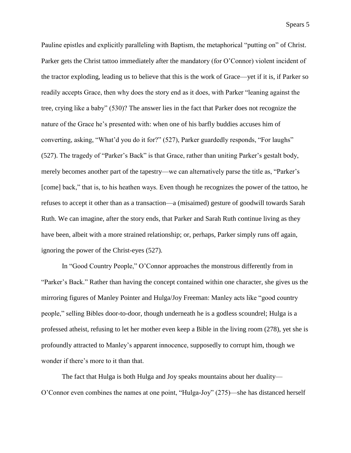Pauline epistles and explicitly paralleling with Baptism, the metaphorical "putting on" of Christ. Parker gets the Christ tattoo immediately after the mandatory (for O'Connor) violent incident of the tractor exploding, leading us to believe that this is the work of Grace—yet if it is, if Parker so readily accepts Grace, then why does the story end as it does, with Parker "leaning against the tree, crying like a baby" (530)? The answer lies in the fact that Parker does not recognize the nature of the Grace he's presented with: when one of his barfly buddies accuses him of converting, asking, "What'd you do it for?" (527), Parker guardedly responds, "For laughs" (527). The tragedy of "Parker's Back" is that Grace, rather than uniting Parker's gestalt body, merely becomes another part of the tapestry—we can alternatively parse the title as, "Parker's [come] back," that is, to his heathen ways. Even though he recognizes the power of the tattoo, he refuses to accept it other than as a transaction—a (misaimed) gesture of goodwill towards Sarah Ruth. We can imagine, after the story ends, that Parker and Sarah Ruth continue living as they have been, albeit with a more strained relationship; or, perhaps, Parker simply runs off again, ignoring the power of the Christ-eyes (527).

In "Good Country People," O'Connor approaches the monstrous differently from in "Parker's Back." Rather than having the concept contained within one character, she gives us the mirroring figures of Manley Pointer and Hulga/Joy Freeman: Manley acts like "good country people," selling Bibles door-to-door, though underneath he is a godless scoundrel; Hulga is a professed atheist, refusing to let her mother even keep a Bible in the living room (278), yet she is profoundly attracted to Manley's apparent innocence, supposedly to corrupt him, though we wonder if there's more to it than that.

The fact that Hulga is both Hulga and Joy speaks mountains about her duality— O'Connor even combines the names at one point, "Hulga-Joy" (275)—she has distanced herself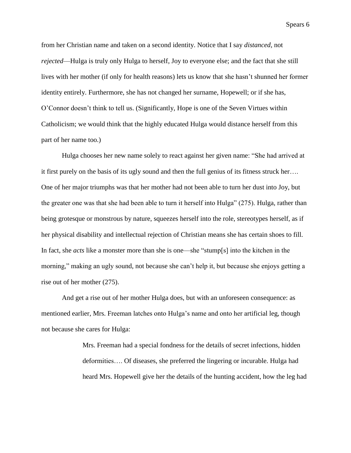from her Christian name and taken on a second identity. Notice that I say *distanced*, not *rejected*—Hulga is truly only Hulga to herself, Joy to everyone else; and the fact that she still lives with her mother (if only for health reasons) lets us know that she hasn't shunned her former identity entirely. Furthermore, she has not changed her surname, Hopewell; or if she has, O'Connor doesn't think to tell us. (Significantly, Hope is one of the Seven Virtues within Catholicism; we would think that the highly educated Hulga would distance herself from this part of her name too.)

Hulga chooses her new name solely to react against her given name: "She had arrived at it first purely on the basis of its ugly sound and then the full genius of its fitness struck her…. One of her major triumphs was that her mother had not been able to turn her dust into Joy, but the greater one was that she had been able to turn it herself into Hulga" (275). Hulga, rather than being grotesque or monstrous by nature, squeezes herself into the role, stereotypes herself, as if her physical disability and intellectual rejection of Christian means she has certain shoes to fill. In fact, she *acts* like a monster more than she is one—she "stump[s] into the kitchen in the morning," making an ugly sound, not because she can't help it, but because she enjoys getting a rise out of her mother (275).

And get a rise out of her mother Hulga does, but with an unforeseen consequence: as mentioned earlier, Mrs. Freeman latches onto Hulga's name and onto her artificial leg, though not because she cares for Hulga:

> Mrs. Freeman had a special fondness for the details of secret infections, hidden deformities…. Of diseases, she preferred the lingering or incurable. Hulga had heard Mrs. Hopewell give her the details of the hunting accident, how the leg had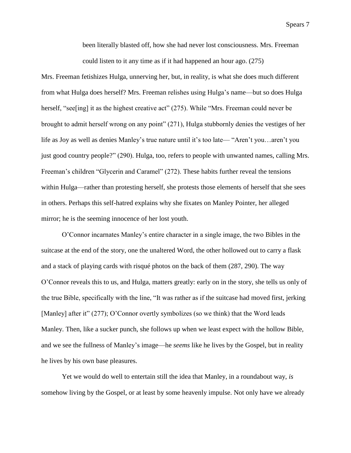been literally blasted off, how she had never lost consciousness. Mrs. Freeman could listen to it any time as if it had happened an hour ago. (275)

Mrs. Freeman fetishizes Hulga, unnerving her, but, in reality, is what she does much different from what Hulga does herself? Mrs. Freeman relishes using Hulga's name—but so does Hulga herself, "see [ing] it as the highest creative act" (275). While "Mrs. Freeman could never be brought to admit herself wrong on any point" (271), Hulga stubbornly denies the vestiges of her life as Joy as well as denies Manley's true nature until it's too late— "Aren't you…aren't you just good country people?" (290). Hulga, too, refers to people with unwanted names, calling Mrs. Freeman's children "Glycerin and Caramel" (272). These habits further reveal the tensions within Hulga—rather than protesting herself, she protests those elements of herself that she sees in others. Perhaps this self-hatred explains why she fixates on Manley Pointer, her alleged mirror; he is the seeming innocence of her lost youth.

O'Connor incarnates Manley's entire character in a single image, the two Bibles in the suitcase at the end of the story, one the unaltered Word, the other hollowed out to carry a flask and a stack of playing cards with risqué photos on the back of them (287, 290). The way O'Connor reveals this to us, and Hulga, matters greatly: early on in the story, she tells us only of the true Bible, specifically with the line, "It was rather as if the suitcase had moved first, jerking [Manley] after it" (277); O'Connor overtly symbolizes (so we think) that the Word leads Manley. Then, like a sucker punch, she follows up when we least expect with the hollow Bible, and we see the fullness of Manley's image—he *seems* like he lives by the Gospel, but in reality he lives by his own base pleasures.

Yet we would do well to entertain still the idea that Manley, in a roundabout way, *is* somehow living by the Gospel, or at least by some heavenly impulse. Not only have we already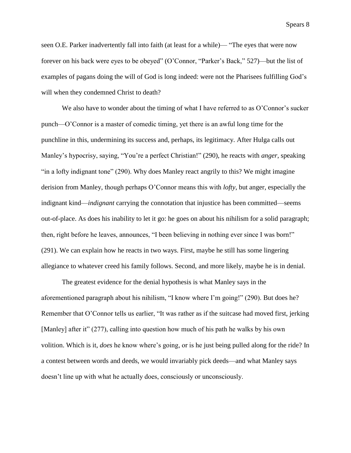seen O.E. Parker inadvertently fall into faith (at least for a while)— "The eyes that were now forever on his back were eyes to be obeyed" (O'Connor, "Parker's Back," 527)—but the list of examples of pagans doing the will of God is long indeed: were not the Pharisees fulfilling God's will when they condemned Christ to death?

We also have to wonder about the timing of what I have referred to as O'Connor's sucker punch—O'Connor is a master of comedic timing, yet there is an awful long time for the punchline in this, undermining its success and, perhaps, its legitimacy. After Hulga calls out Manley's hypocrisy, saying, "You're a perfect Christian!" (290), he reacts with *anger*, speaking "in a lofty indignant tone" (290). Why does Manley react angrily to this? We might imagine derision from Manley, though perhaps O'Connor means this with *lofty*, but anger, especially the indignant kind—*indignant* carrying the connotation that injustice has been committed—seems out-of-place. As does his inability to let it go: he goes on about his nihilism for a solid paragraph; then, right before he leaves, announces, "I been believing in nothing ever since I was born!" (291). We can explain how he reacts in two ways. First, maybe he still has some lingering allegiance to whatever creed his family follows. Second, and more likely, maybe he is in denial.

The greatest evidence for the denial hypothesis is what Manley says in the aforementioned paragraph about his nihilism, "I know where I'm going!" (290). But does he? Remember that O'Connor tells us earlier, "It was rather as if the suitcase had moved first, jerking [Manley] after it" (277), calling into question how much of his path he walks by his own volition. Which is it, *does* he know where's going, or is he just being pulled along for the ride? In a contest between words and deeds, we would invariably pick deeds—and what Manley says doesn't line up with what he actually does, consciously or unconsciously.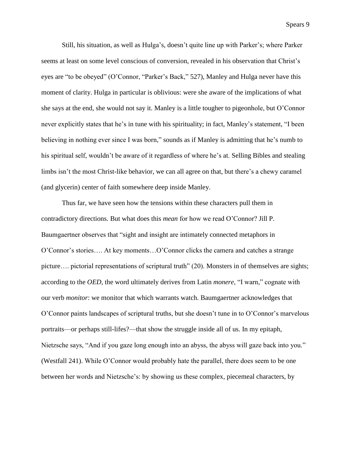Still, his situation, as well as Hulga's, doesn't quite line up with Parker's; where Parker seems at least on some level conscious of conversion, revealed in his observation that Christ's eyes are "to be obeyed" (O'Connor, "Parker's Back," 527), Manley and Hulga never have this moment of clarity. Hulga in particular is oblivious: were she aware of the implications of what she says at the end, she would not say it. Manley is a little tougher to pigeonhole, but O'Connor never explicitly states that he's in tune with his spirituality; in fact, Manley's statement, "I been believing in nothing ever since I was born," sounds as if Manley is admitting that he's numb to his spiritual self, wouldn't be aware of it regardless of where he's at. Selling Bibles and stealing limbs isn't the most Christ-like behavior, we can all agree on that, but there's a chewy caramel (and glycerin) center of faith somewhere deep inside Manley.

Thus far, we have seen how the tensions within these characters pull them in contradictory directions. But what does this *mean* for how we read O'Connor? Jill P. Baumgaertner observes that "sight and insight are intimately connected metaphors in O'Connor's stories…. At key moments…O'Connor clicks the camera and catches a strange picture…. pictorial representations of scriptural truth" (20). Monsters in of themselves are sights; according to the *OED*, the word ultimately derives from Latin *monere*, "I warn," cognate with our verb *monitor*: we monitor that which warrants watch. Baumgaertner acknowledges that O'Connor paints landscapes of scriptural truths, but she doesn't tune in to O'Connor's marvelous portraits—or perhaps still-lifes?—that show the struggle inside all of us. In my epitaph, Nietzsche says, "And if you gaze long enough into an abyss, the abyss will gaze back into you." (Westfall 241). While O'Connor would probably hate the parallel, there does seem to be one between her words and Nietzsche's: by showing us these complex, piecemeal characters, by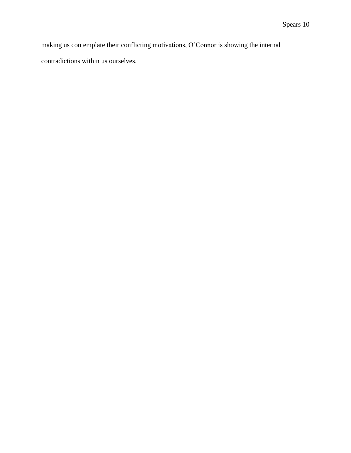making us contemplate their conflicting motivations, O'Connor is showing the internal contradictions within us ourselves.